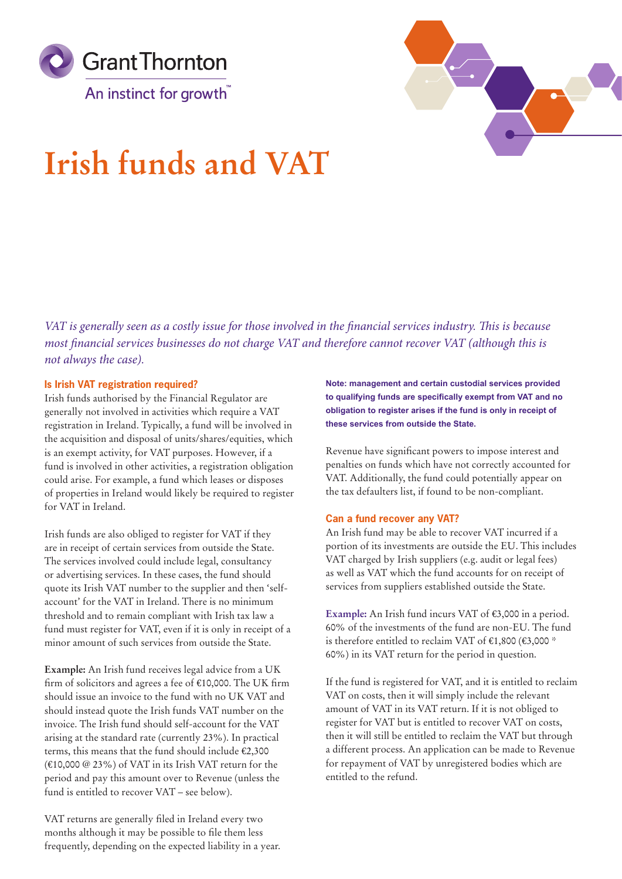



# **Irish funds and VAT**

*VAT is generally seen as a costly issue for those involved in the financial services industry. This is because most financial services businesses do not charge VAT and therefore cannot recover VAT (although this is not always the case).* 

# **Is Irish VAT registration required?**

Irish funds authorised by the Financial Regulator are generally not involved in activities which require a VAT registration in Ireland. Typically, a fund will be involved in the acquisition and disposal of units/shares/equities, which is an exempt activity, for VAT purposes. However, if a fund is involved in other activities, a registration obligation could arise. For example, a fund which leases or disposes of properties in Ireland would likely be required to register for VAT in Ireland.

Irish funds are also obliged to register for VAT if they are in receipt of certain services from outside the State. The services involved could include legal, consultancy or advertising services. In these cases, the fund should quote its Irish VAT number to the supplier and then 'selfaccount' for the VAT in Ireland. There is no minimum threshold and to remain compliant with Irish tax law a fund must register for VAT, even if it is only in receipt of a minor amount of such services from outside the State.

**Example:** An Irish fund receives legal advice from a UK firm of solicitors and agrees a fee of €10,000. The UK firm should issue an invoice to the fund with no UK VAT and should instead quote the Irish funds VAT number on the invoice. The Irish fund should self-account for the VAT arising at the standard rate (currently 23%). In practical terms, this means that the fund should include €2,300 (€10,000 @ 23%) of VAT in its Irish VAT return for the period and pay this amount over to Revenue (unless the fund is entitled to recover VAT – see below).

VAT returns are generally filed in Ireland every two months although it may be possible to file them less frequently, depending on the expected liability in a year. **Note: management and certain custodial services provided to qualifying funds are specifically exempt from VAT and no obligation to register arises if the fund is only in receipt of these services from outside the State.**

Revenue have significant powers to impose interest and penalties on funds which have not correctly accounted for VAT. Additionally, the fund could potentially appear on the tax defaulters list, if found to be non-compliant.

# **Can a fund recover any VAT?**

An Irish fund may be able to recover VAT incurred if a portion of its investments are outside the EU. This includes VAT charged by Irish suppliers (e.g. audit or legal fees) as well as VAT which the fund accounts for on receipt of services from suppliers established outside the State.

**Example:** An Irish fund incurs VAT of €3,000 in a period. 60% of the investments of the fund are non-EU. The fund is therefore entitled to reclaim VAT of  $€1,800$  ( $€3,000$  \* 60%) in its VAT return for the period in question.

If the fund is registered for VAT, and it is entitled to reclaim VAT on costs, then it will simply include the relevant amount of VAT in its VAT return. If it is not obliged to register for VAT but is entitled to recover VAT on costs, then it will still be entitled to reclaim the VAT but through a different process. An application can be made to Revenue for repayment of VAT by unregistered bodies which are entitled to the refund.